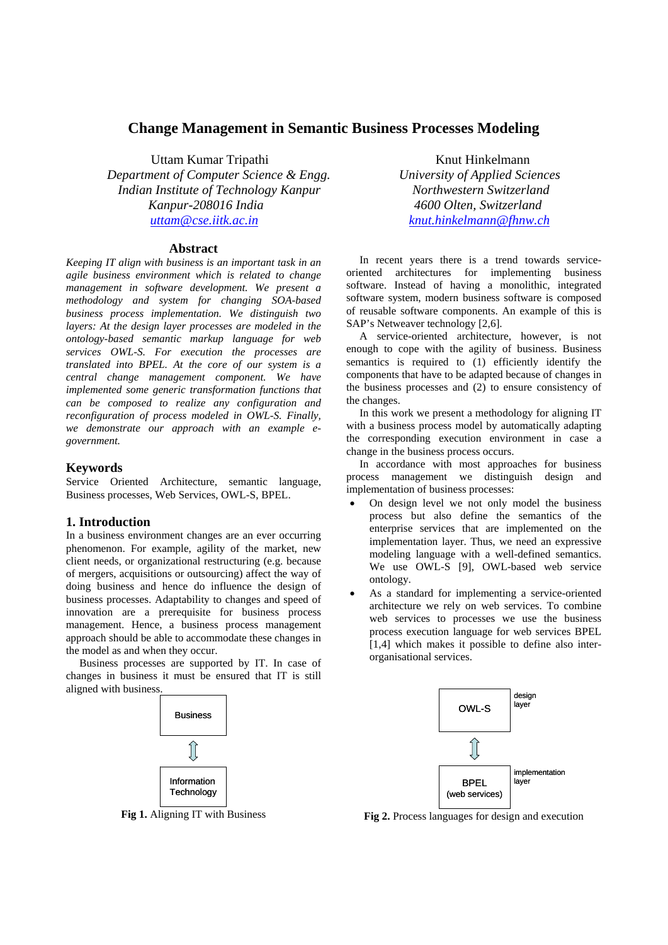# **Change Management in Semantic Business Processes Modeling**

Uttam Kumar Tripathi Knut Hinkelmann *Department of Computer Science & Engg. University of Applied Sciences Indian Institute of Technology Kanpur* **Northwestern Switzerland**  *Kanpur-208016 India 4600 Olten, Switzerland uttam@cse.iitk.ac.in knut.hinkelmann@fhnw.ch*

### **Abstract**

*Keeping IT align with business is an important task in an agile business environment which is related to change management in software development. We present a methodology and system for changing SOA-based business process implementation. We distinguish two layers: At the design layer processes are modeled in the ontology-based semantic markup language for web services OWL-S. For execution the processes are translated into BPEL. At the core of our system is a central change management component. We have implemented some generic transformation functions that can be composed to realize any configuration and reconfiguration of process modeled in OWL-S. Finally, we demonstrate our approach with an example egovernment.* 

### **Keywords**

Service Oriented Architecture, semantic language, Business processes, Web Services, OWL-S, BPEL.

### **1. Introduction**

In a business environment changes are an ever occurring phenomenon. For example, agility of the market, new client needs, or organizational restructuring (e.g. because of mergers, acquisitions or outsourcing) affect the way of doing business and hence do influence the design of business processes. Adaptability to changes and speed of innovation are a prerequisite for business process management. Hence, a business process management approach should be able to accommodate these changes in the model as and when they occur.

Business processes are supported by IT. In case of changes in business it must be ensured that IT is still aligned with business.



**Fig 1.** Aligning IT with Business

In recent years there is a trend towards serviceoriented architectures for implementing business software. Instead of having a monolithic, integrated software system, modern business software is composed of reusable software components. An example of this is SAP's Netweaver technology [2,6].

A service-oriented architecture, however, is not enough to cope with the agility of business. Business semantics is required to (1) efficiently identify the components that have to be adapted because of changes in the business processes and (2) to ensure consistency of the changes.

In this work we present a methodology for aligning IT with a business process model by automatically adapting the corresponding execution environment in case a change in the business process occurs.

In accordance with most approaches for business process management we distinguish design and implementation of business processes:

- On design level we not only model the business process but also define the semantics of the enterprise services that are implemented on the implementation layer. Thus, we need an expressive modeling language with a well-defined semantics. We use OWL-S [9], OWL-based web service ontology.
- As a standard for implementing a service-oriented architecture we rely on web services. To combine web services to processes we use the business process execution language for web services BPEL [1,4] which makes it possible to define also interorganisational services.



**Fig 2.** Process languages for design and execution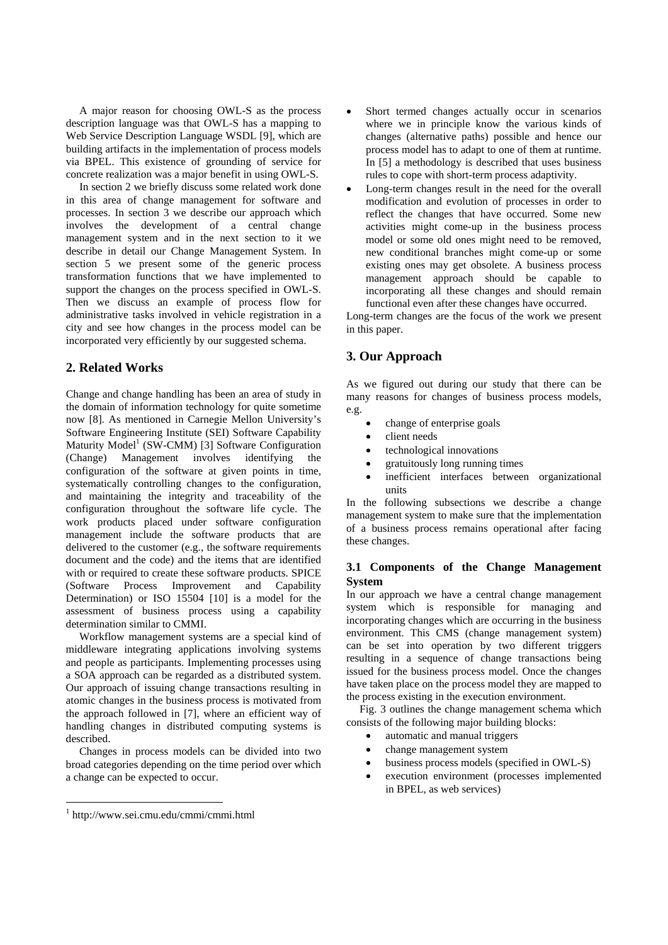A major reason for choosing OWL-S as the process description language was that OWL-S has a mapping to Web Service Description Language WSDL [9], which are building artifacts in the implementation of process models via BPEL. This existence of grounding of service for concrete realization was a major benefit in using OWL-S.

In section 2 we briefly discuss some related work done in this area of change management for software and processes. In section 3 we describe our approach which involves the development of a central change management system and in the next section to it we describe in detail our Change Management System. In section 5 we present some of the generic process transformation functions that we have implemented to support the changes on the process specified in OWL-S. Then we discuss an example of process flow for administrative tasks involved in vehicle registration in a city and see how changes in the process model can be incorporated very efficiently by our suggested schema.

## **2. Related Works**

Change and change handling has been an area of study in the domain of information technology for quite sometime now [8]. As mentioned in Carnegie Mellon University's Software Engineering Institute (SEI) Software Capability Maturity Model<sup>1</sup> (SW-CMM) [3] Software Configuration (Change) Management involves identifying the configuration of the software at given points in time, systematically controlling changes to the configuration, and maintaining the integrity and traceability of the configuration throughout the software life cycle. The work products placed under software configuration management include the software products that are delivered to the customer (e.g., the software requirements document and the code) and the items that are identified with or required to create these software products. SPICE (Software Process Improvement and Capability Determination) or ISO 15504 [10] is a model for the assessment of business process using a capability determination similar to CMMI.

Workflow management systems are a special kind of middleware integrating applications involving systems and people as participants. Implementing processes using a SOA approach can be regarded as a distributed system. Our approach of issuing change transactions resulting in atomic changes in the business process is motivated from the approach followed in [7], where an efficient way of handling changes in distributed computing systems is described.

Changes in process models can be divided into two broad categories depending on the time period over which a change can be expected to occur.

- Short termed changes actually occur in scenarios where we in principle know the various kinds of changes (alternative paths) possible and hence our process model has to adapt to one of them at runtime. In [5] a methodology is described that uses business rules to cope with short-term process adaptivity.
- Long-term changes result in the need for the overall modification and evolution of processes in order to reflect the changes that have occurred. Some new activities might come-up in the business process model or some old ones might need to be removed, new conditional branches might come-up or some existing ones may get obsolete. A business process management approach should be capable to incorporating all these changes and should remain functional even after these changes have occurred.

Long-term changes are the focus of the work we present in this paper.

## **3. Our Approach**

As we figured out during our study that there can be many reasons for changes of business process models, e.g.

- change of enterprise goals
- client needs
- technological innovations
- gratuitously long running times
- inefficient interfaces between organizational units

In the following subsections we describe a change management system to make sure that the implementation of a business process remains operational after facing these changes.

## **3.1 Components of the Change Management System**

In our approach we have a central change management system which is responsible for managing and incorporating changes which are occurring in the business environment. This CMS (change management system) can be set into operation by two different triggers resulting in a sequence of change transactions being issued for the business process model. Once the changes have taken place on the process model they are mapped to the process existing in the execution environment.

Fig. 3 outlines the change management schema which consists of the following major building blocks:

- automatic and manual triggers
- change management system
- business process models (specified in OWL-S)
- execution environment (processes implemented in BPEL, as web services)

1

<sup>1</sup> http://www.sei.cmu.edu/cmmi/cmmi.html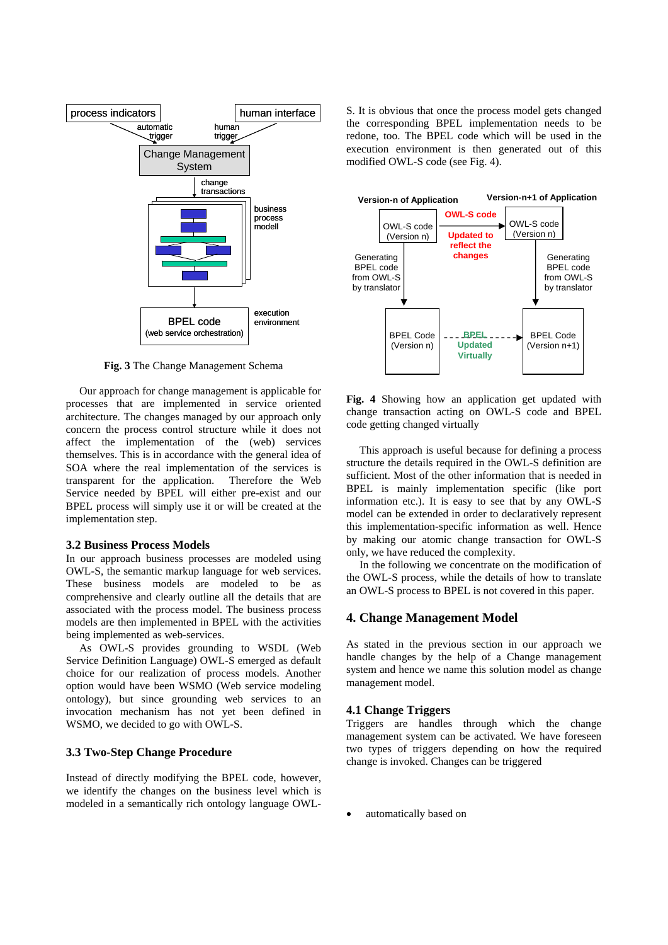

**Fig. 3** The Change Management Schema

Our approach for change management is applicable for processes that are implemented in service oriented architecture. The changes managed by our approach only concern the process control structure while it does not affect the implementation of the (web) services themselves. This is in accordance with the general idea of SOA where the real implementation of the services is transparent for the application. Therefore the Web Service needed by BPEL will either pre-exist and our BPEL process will simply use it or will be created at the implementation step.

### **3.2 Business Process Models**

In our approach business processes are modeled using OWL-S, the semantic markup language for web services. These business models are modeled to be as comprehensive and clearly outline all the details that are associated with the process model. The business process models are then implemented in BPEL with the activities being implemented as web-services.

As OWL-S provides grounding to WSDL (Web Service Definition Language) OWL-S emerged as default choice for our realization of process models. Another option would have been WSMO (Web service modeling ontology), but since grounding web services to an invocation mechanism has not yet been defined in WSMO, we decided to go with OWL-S.

#### **3.3 Two-Step Change Procedure**

Instead of directly modifying the BPEL code, however, we identify the changes on the business level which is modeled in a semantically rich ontology language OWL-

S. It is obvious that once the process model gets changed the corresponding BPEL implementation needs to be redone, too. The BPEL code which will be used in the execution environment is then generated out of this modified OWL-S code (see Fig. 4).



**Fig. 4** Showing how an application get updated with change transaction acting on OWL-S code and BPEL code getting changed virtually

This approach is useful because for defining a process structure the details required in the OWL-S definition are sufficient. Most of the other information that is needed in BPEL is mainly implementation specific (like port information etc.). It is easy to see that by any OWL-S model can be extended in order to declaratively represent this implementation-specific information as well. Hence by making our atomic change transaction for OWL-S only, we have reduced the complexity.

In the following we concentrate on the modification of the OWL-S process, while the details of how to translate an OWL-S process to BPEL is not covered in this paper.

#### **4. Change Management Model**

As stated in the previous section in our approach we handle changes by the help of a Change management system and hence we name this solution model as change management model.

#### **4.1 Change Triggers**

Triggers are handles through which the change management system can be activated. We have foreseen two types of triggers depending on how the required change is invoked. Changes can be triggered

automatically based on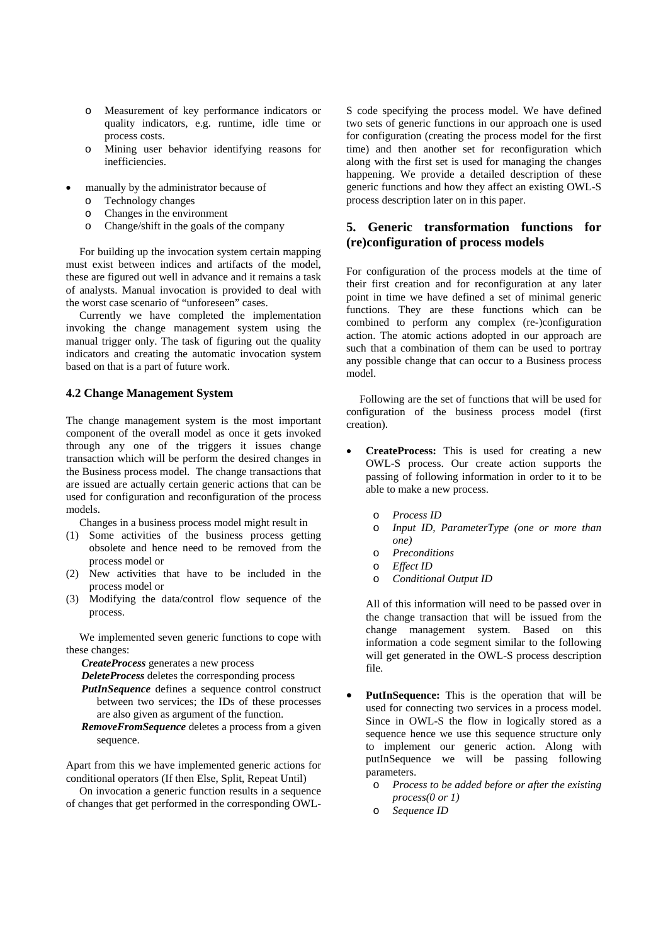- o Measurement of key performance indicators or quality indicators, e.g. runtime, idle time or process costs.
- o Mining user behavior identifying reasons for inefficiencies.
- manually by the administrator because of
	- o Technology changes
	- o Changes in the environment
	- o Change/shift in the goals of the company

For building up the invocation system certain mapping must exist between indices and artifacts of the model, these are figured out well in advance and it remains a task of analysts. Manual invocation is provided to deal with the worst case scenario of "unforeseen" cases.

Currently we have completed the implementation invoking the change management system using the manual trigger only. The task of figuring out the quality indicators and creating the automatic invocation system based on that is a part of future work.

### **4.2 Change Management System**

The change management system is the most important component of the overall model as once it gets invoked through any one of the triggers it issues change transaction which will be perform the desired changes in the Business process model. The change transactions that are issued are actually certain generic actions that can be used for configuration and reconfiguration of the process models.

Changes in a business process model might result in

- (1) Some activities of the business process getting obsolete and hence need to be removed from the process model or
- (2) New activities that have to be included in the process model or
- (3) Modifying the data/control flow sequence of the process.

We implemented seven generic functions to cope with these changes:

*CreateProcess* generates a new process

*DeleteProcess* deletes the corresponding process

- *PutInSequence* defines a sequence control construct between two services; the IDs of these processes are also given as argument of the function.
- *RemoveFromSequence* deletes a process from a given sequence.

Apart from this we have implemented generic actions for conditional operators (If then Else, Split, Repeat Until)

On invocation a generic function results in a sequence of changes that get performed in the corresponding OWL-

S code specifying the process model. We have defined two sets of generic functions in our approach one is used for configuration (creating the process model for the first time) and then another set for reconfiguration which along with the first set is used for managing the changes happening. We provide a detailed description of these generic functions and how they affect an existing OWL-S process description later on in this paper.

# **5. Generic transformation functions for (re)configuration of process models**

For configuration of the process models at the time of their first creation and for reconfiguration at any later point in time we have defined a set of minimal generic functions. They are these functions which can be combined to perform any complex (re-)configuration action. The atomic actions adopted in our approach are such that a combination of them can be used to portray any possible change that can occur to a Business process model.

Following are the set of functions that will be used for configuration of the business process model (first creation).

- **CreateProcess:** This is used for creating a new OWL-S process. Our create action supports the passing of following information in order to it to be able to make a new process.
	- o *Process ID*
	- o *Input ID, ParameterType (one or more than one)*
	- o *Preconditions*
	- o *Effect ID*
	- o *Conditional Output ID*

All of this information will need to be passed over in the change transaction that will be issued from the change management system. Based on this information a code segment similar to the following will get generated in the OWL-S process description file.

- **PutInSequence:** This is the operation that will be used for connecting two services in a process model. Since in OWL-S the flow in logically stored as a sequence hence we use this sequence structure only to implement our generic action. Along with putInSequence we will be passing following parameters.
	- o *Process to be added before or after the existing process(0 or 1)*
	- o *Sequence ID*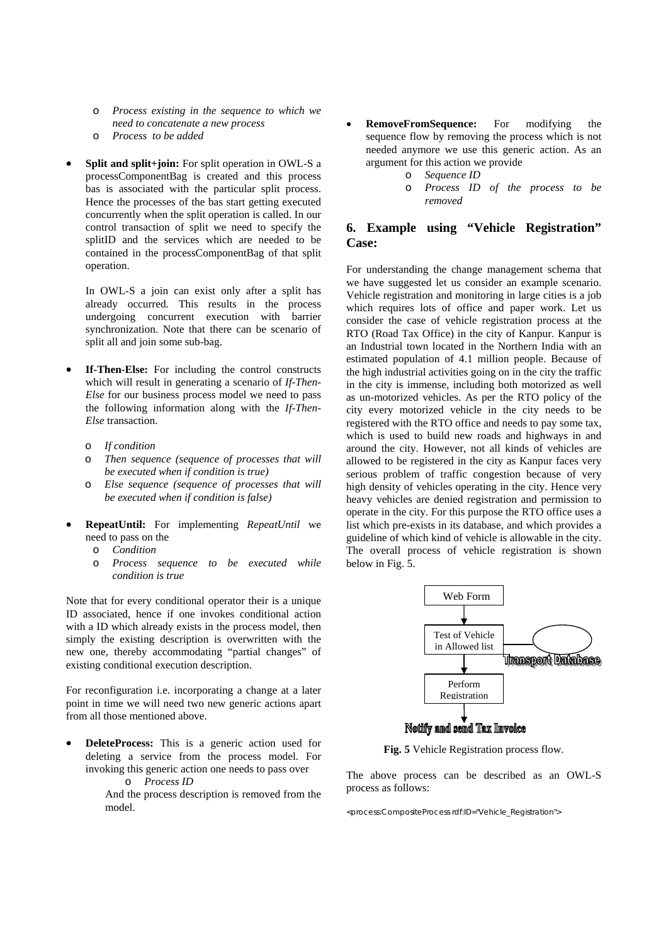- o *Process existing in the sequence to which we need to concatenate a new process*
- o *Process to be added*
- **Split and split+join:** For split operation in OWL-S a processComponentBag is created and this process bas is associated with the particular split process. Hence the processes of the bas start getting executed concurrently when the split operation is called. In our control transaction of split we need to specify the splitID and the services which are needed to be contained in the processComponentBag of that split operation.

In OWL-S a join can exist only after a split has already occurred. This results in the process undergoing concurrent execution with barrier synchronization. Note that there can be scenario of split all and join some sub-bag.

- **If-Then-Else:** For including the control constructs which will result in generating a scenario of *If-Then-Else* for our business process model we need to pass the following information along with the *If-Then-Else* transaction.
	- o *If condition*
	- o *Then sequence (sequence of processes that will be executed when if condition is true)*
	- o *Else sequence (sequence of processes that will be executed when if condition is false)*
- **RepeatUntil:** For implementing *RepeatUntil* we need to pass on the
	- o *Condition*
	- o *Process sequence to be executed while condition is true*

Note that for every conditional operator their is a unique ID associated, hence if one invokes conditional action with a ID which already exists in the process model, then simply the existing description is overwritten with the new one, thereby accommodating "partial changes" of existing conditional execution description.

For reconfiguration i.e. incorporating a change at a later point in time we will need two new generic actions apart from all those mentioned above.

 **DeleteProcess:** This is a generic action used for deleting a service from the process model. For invoking this generic action one needs to pass over o *Process ID* 

And the process description is removed from the model.

- **RemoveFromSequence:** For modifying the sequence flow by removing the process which is not needed anymore we use this generic action. As an argument for this action we provide
	- o *Sequence ID*
	- o *Process ID of the process to be removed*

# **6. Example using "Vehicle Registration" Case:**

For understanding the change management schema that we have suggested let us consider an example scenario. Vehicle registration and monitoring in large cities is a job which requires lots of office and paper work. Let us consider the case of vehicle registration process at the RTO (Road Tax Office) in the city of Kanpur. Kanpur is an Industrial town located in the Northern India with an estimated population of 4.1 million people. Because of the high industrial activities going on in the city the traffic in the city is immense, including both motorized as well as un-motorized vehicles. As per the RTO policy of the city every motorized vehicle in the city needs to be registered with the RTO office and needs to pay some tax, which is used to build new roads and highways in and around the city. However, not all kinds of vehicles are allowed to be registered in the city as Kanpur faces very serious problem of traffic congestion because of very high density of vehicles operating in the city. Hence very heavy vehicles are denied registration and permission to operate in the city. For this purpose the RTO office uses a list which pre-exists in its database, and which provides a guideline of which kind of vehicle is allowable in the city. The overall process of vehicle registration is shown below in Fig. 5.



**Fig. 5** Vehicle Registration process flow.

The above process can be described as an OWL-S process as follows:

<sup>&</sup>lt;process:CompositeProcess rdf:ID="Vehicle\_Registration">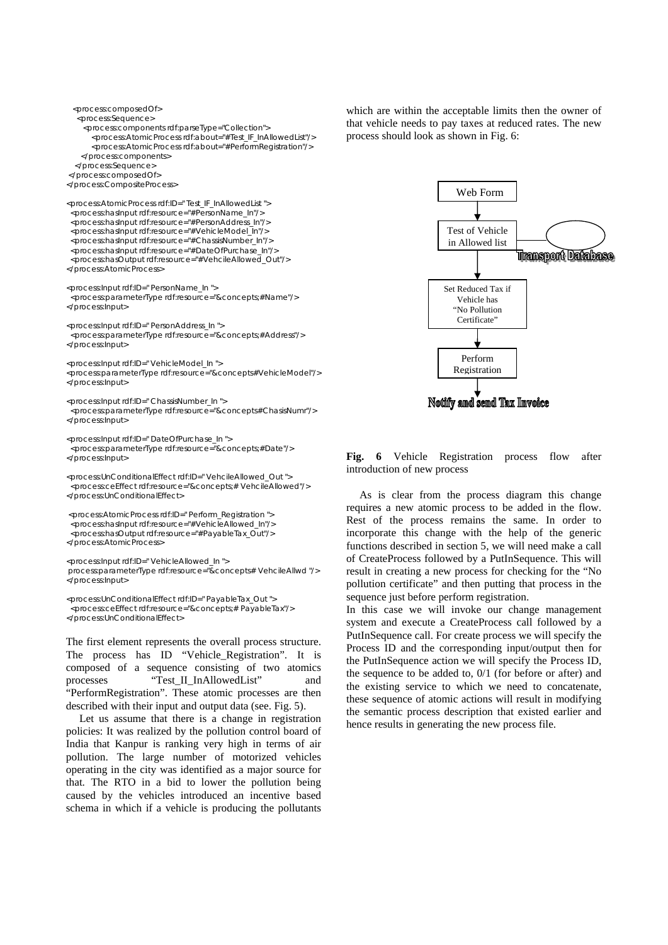<process:composedOf> <process:Sequence> <process:components rdf:parseType="Collection"> <process:AtomicProcess rdf:about="#Test\_IF\_InAllowedList"/> <process:AtomicProcess rdf:about="#PerformRegistration"/> </process:components> </process:Sequence> </process:composedOf> </process:CompositeProcess> <process:AtomicProcess rdf:ID=" Test\_IF\_InAllowedList "> <process:hasInput rdf:resource="#PersonName\_In"/> <process:hasInput rdf:resource="#PersonAddress\_In"/> <process:hasInput rdf:resource="#VehicleModel\_In"/> <process:hasInput rdf:resource="#ChassisNumber\_In"/> <process:hasInput rdf:resource="#DateOfPurchase\_In"/> <process:hasOutput rdf:resource="#VehcileAllowed\_Out"/> </process:AtomicProcess> <process:Input rdf:ID=" PersonName\_In "> <process:parameterType rdf:resource="&concepts;#Name"/> </process:Input> <process:Input rdf:ID=" PersonAddress\_In "> <process:parameterType rdf:resource="&concepts;#Address"/> </process:Input> <process:Input rdf:ID=" VehicleModel\_In "> <process:parameterType rdf:resource="&concepts#VehicleModel"/> </process:Input> <process:Input rdf:ID=" ChassisNumber\_In "> <process:parameterType rdf:resource="&concepts#ChasisNumr"/> </process:Input> <process:Input rdf:ID=" DateOfPurchase\_In "> <process:parameterType rdf:resource="&concepts;#Date"/> </process:Input> <process:UnConditionalEffect rdf:ID=" VehcileAllowed\_Out "> <process:ceEffect rdf:resource="&concepts;# VehcileAllowed"/> </process:UnConditionalEffect> <process:AtomicProcess rdf:ID=" Perform\_Registration "> <process:hasInput rdf:resource="#VehicleAllowed\_In"/> <process:hasOutput rdf:resource="#PayableTax\_Out"/> </process:AtomicProcess> <process:Input rdf:ID=" VehicleAllowed\_In "> process:parameterType rdf:resource="&concepts# VehcileAllwd "/> </process:Input> <process:UnConditionalEffect rdf:ID=" PayableTax\_Out "> <process:ceEffect rdf:resource="&concepts;# PayableTax"/> </process:UnConditionalEffect>

The first element represents the overall process structure. The process has ID "Vehicle\_Registration". It is composed of a sequence consisting of two atomics processes "Test\_II\_InAllowedList" and "PerformRegistration". These atomic processes are then described with their input and output data (see. Fig. 5).

Let us assume that there is a change in registration policies: It was realized by the pollution control board of India that Kanpur is ranking very high in terms of air pollution. The large number of motorized vehicles operating in the city was identified as a major source for that. The RTO in a bid to lower the pollution being caused by the vehicles introduced an incentive based schema in which if a vehicle is producing the pollutants

which are within the acceptable limits then the owner of that vehicle needs to pay taxes at reduced rates. The new process should look as shown in Fig. 6:



**Fig. 6** Vehicle Registration process flow after introduction of new process

As is clear from the process diagram this change requires a new atomic process to be added in the flow. Rest of the process remains the same. In order to incorporate this change with the help of the generic functions described in section 5, we will need make a call of CreateProcess followed by a PutInSequence. This will result in creating a new process for checking for the "No pollution certificate" and then putting that process in the sequence just before perform registration.

In this case we will invoke our change management system and execute a CreateProcess call followed by a PutInSequence call. For create process we will specify the Process ID and the corresponding input/output then for the PutInSequence action we will specify the Process ID, the sequence to be added to, 0/1 (for before or after) and the existing service to which we need to concatenate, these sequence of atomic actions will result in modifying the semantic process description that existed earlier and hence results in generating the new process file.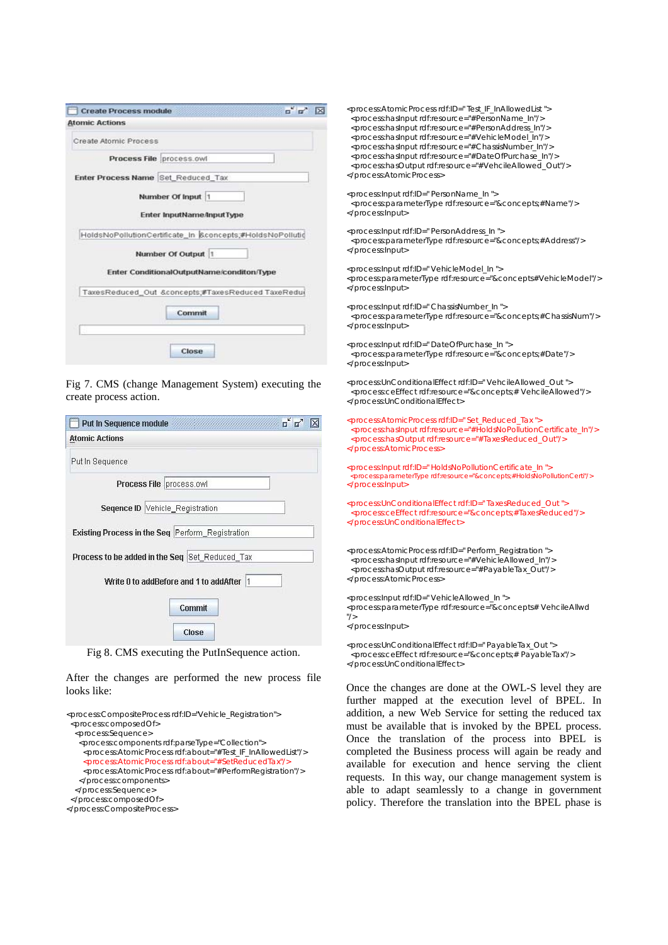| <b>Atomic Actions</b>              |                                                           |
|------------------------------------|-----------------------------------------------------------|
| Create Atomic Process              |                                                           |
|                                    | Process File process.owl                                  |
| Enter Process Name Set_Reduced_Tax |                                                           |
|                                    | Number Of Input 1                                         |
|                                    | Enter InputName/InputType                                 |
|                                    | HoldsNoPollutionCertificate_In Sconcepts;#HoldsNoPollutic |
|                                    | Number Of Output 1                                        |
|                                    | Enter ConditionalOutputName/conditon/Type                 |
|                                    | TaxesReduced_Out &concepts#TaxesReduced TaxeRedui         |
|                                    | Commit                                                    |
|                                    |                                                           |

Fig 7. CMS (change Management System) executing the create process action.

| <b>Put In Sequence module</b>                    | $\overline{a}^{\kappa}$ $\overline{a}^{\kappa}$ | ⊠ |
|--------------------------------------------------|-------------------------------------------------|---|
| <b>Atomic Actions</b>                            |                                                 |   |
| Put In Sequence                                  |                                                 |   |
| Process File process.owl                         |                                                 |   |
| <b>Segence ID</b> Vehicle Registration           |                                                 |   |
| Existing Process in the Seq Perform_Registration |                                                 |   |
| Process to be added in the Seq  Set_Reduced_Tax  |                                                 |   |
| Write 0 to addBefore and 1 to addAfter  1        |                                                 |   |
| Commit                                           |                                                 |   |
| Close                                            |                                                 |   |
| Fig 8. CMS executing the PutInSequence action.   |                                                 |   |

After the changes are performed the new process file looks like:

<process:CompositeProcess rdf:ID="Vehicle\_Registration"> <process:composedOf> <process:Sequence> <process:components rdf:parseType="Collection">

- <process:AtomicProcess rdf:about="#Test\_IF\_InAllowedList"/> <process:AtomicProcess rdf:about="#SetReducedTax"/> <process:AtomicProcess rdf:about="#PerformRegistration"/>
- </process:components>
- </process:Sequence>
- </process:composedOf>
- </process:CompositeProcess>
- <process:AtomicProcess rdf:ID=" Test\_IF\_InAllowedList "> <process:hasInput rdf:resource="#PersonName\_In"/> <process:hasInput rdf:resource="#PersonAddress\_In"/> <process:hasInput rdf:resource="#VehicleModel\_In"/> <process:hasInput rdf:resource="#ChassisNumber\_In"/>
- <process:hasInput rdf:resource="#DateOfPurchase\_In"/>
- <process:hasOutput rdf:resource="#VehcileAllowed\_Out"/> </process:AtomicProcess>

<process:Input rdf:ID=" PersonName\_In ">

 <process:parameterType rdf:resource="&concepts;#Name"/> </process:Input>

<process:Input rdf:ID=" PersonAddress\_In "> <process:parameterType rdf:resource="&concepts;#Address"/> </process:Input>

<process:Input rdf:ID=" VehicleModel\_In ">

<process:parameterType rdf:resource="&concepts#VehicleModel"/> </process:Input>

<process:Input rdf:ID=" ChassisNumber\_In ">

 <process:parameterType rdf:resource="&concepts;#ChassisNum"/> </process:Input>

<process:Input rdf:ID=" DateOfPurchase\_In ">

 <process:parameterType rdf:resource="&concepts;#Date"/> </process:Input>

<process:UnConditionalEffect rdf:ID=" VehcileAllowed\_Out "> <process:ceEffect rdf:resource="&concepts;# VehcileAllowed"/> </process:UnConditionalEffect>

<process:AtomicProcess rdf:ID=" Set\_Reduced\_Tax "> <process:hasInput rdf:resource="#HoldsNoPollutionCertificate\_In"/> <process:hasOutput rdf:resource="#TaxesReduced\_Out"/> </process:AtomicProcess>

<process:Input rdf:ID=" HoldsNoPollutionCertificate\_In "> <process:parameterType rdf:resource="&concepts;#HoldsNoPollutionCerti"/> </process:Input>

<process:UnConditionalEffect rdf:ID=" TaxesReduced\_Out "> <process:ceEffect rdf:resource="&concepts;#TaxesReduced"/> </process:UnConditionalEffect>

<process:AtomicProcess rdf:ID=" Perform\_Registration "> <process:hasInput rdf:resource="#VehicleAllowed\_In"/> <process:hasOutput rdf:resource="#PayableTax\_Out"/> </process:AtomicProcess>

<process:Input rdf:ID=" VehicleAllowed\_In "> <process:parameterType rdf:resource="&concepts# VehcileAllwd "/> </process:Input>

<process:UnConditionalEffect rdf:ID=" PayableTax\_Out "> <process:ceEffect rdf:resource="&concepts;# PayableTax"/> </process:UnConditionalEffect>

Once the changes are done at the OWL-S level they are further mapped at the execution level of BPEL. In addition, a new Web Service for setting the reduced tax must be available that is invoked by the BPEL process. Once the translation of the process into BPEL is completed the Business process will again be ready and available for execution and hence serving the client requests. In this way, our change management system is able to adapt seamlessly to a change in government policy. Therefore the translation into the BPEL phase is